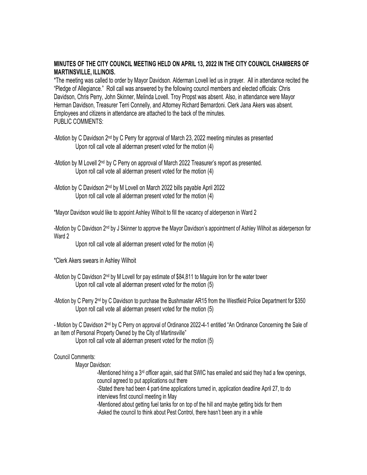## **MINUTES OF THE CITY COUNCIL MEETING HELD ON APRIL 13, 2022 IN THE CITY COUNCIL CHAMBERS OF MARTINSVILLE, ILLINOIS.**

\*The meeting was called to order by Mayor Davidson. Alderman Lovell led us in prayer. All in attendance recited the "Pledge of Allegiance." Roll call was answered by the following council members and elected officials: Chris Davidson, Chris Perry, John Skinner, Melinda Lovell. Troy Propst was absent. Also, in attendance were Mayor Herman Davidson, Treasurer Terri Connelly, and Attorney Richard Bernardoni. Clerk Jana Akers was absent. Employees and citizens in attendance are attached to the back of the minutes. PUBLIC COMMENTS:

-Motion by C Davidson 2nd by C Perry for approval of March 23, 2022 meeting minutes as presented Upon roll call vote all alderman present voted for the motion (4)

-Motion by M Lovell 2nd by C Perry on approval of March 2022 Treasurer's report as presented. Upon roll call vote all alderman present voted for the motion (4)

-Motion by C Davidson 2<sup>nd</sup> by M Lovell on March 2022 bills payable April 2022 Upon roll call vote all alderman present voted for the motion (4)

\*Mayor Davidson would like to appoint Ashley Wilhoit to fill the vacancy of alderperson in Ward 2

-Motion by C Davidson 2™ by J Skinner to approve the Mayor Davidson's appointment of Ashley Wilhoit as alderperson for Ward 2

Upon roll call vote all alderman present voted for the motion (4)

\*Clerk Akers swears in Ashley Wilhoit

- -Motion by C Davidson 2nd by M Lovell for pay estimate of \$84,811 to Maguire Iron for the water tower Upon roll call vote all alderman present voted for the motion (5)
- -Motion by C Perry 2nd by C Davidson to purchase the Bushmaster AR15 from the Westfield Police Department for \$350 Upon roll call vote all alderman present voted for the motion (5)

- Motion by C Davidson 2™ by C Perry on approval of Ordinance 2022-4-1 entitled "An Ordinance Concerning the Sale of an Item of Personal Property Owned by the City of Martinsville"

Upon roll call vote all alderman present voted for the motion (5)

## Council Comments:

Mayor Davidson:

-Mentioned hiring a 3rd officer again, said that SWIC has emailed and said they had a few openings, council agreed to put applications out there

-Stated there had been 4 part-time applications turned in, application deadline April 27, to do interviews first council meeting in May

-Mentioned about getting fuel tanks for on top of the hill and maybe getting bids for them -Asked the council to think about Pest Control, there hasn't been any in a while